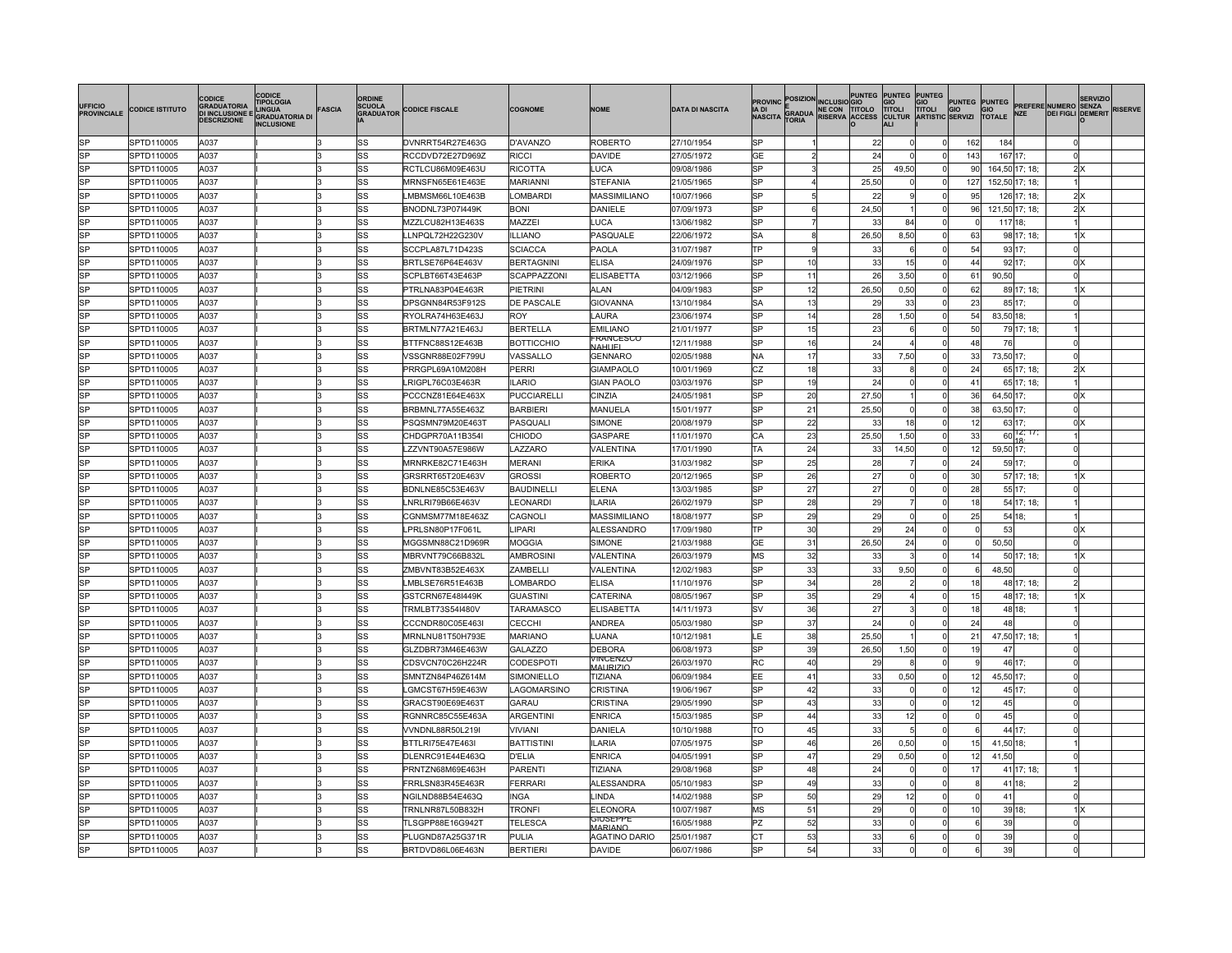| UFFICIO<br><b>PROVINCIALE</b> | <b>CODICE ISTITUTO</b> | <b>CODICE</b><br><b>GRADUATORIA</b><br>DI INCLUSIONE E<br><b>DESCRIZIONE</b> | CODICE<br><b>TIPOLOGIA</b><br><b>INGHA</b><br><b>GRADUATORIA DI</b><br><b>INCLUSIONE</b> | <b>FASCIA</b> | ORDINE<br><b>SCUOLA</b><br><b>GRADUATOR</b> | <b>CODICE FISCALE</b> | <b>COGNOME</b>     | <b>NOME</b>                 | <b>DATA DI NASCITA</b> | <b>PROVINC POSIZION INCLUSIO GIO</b><br>IA DI<br><b>NASCITA</b><br><b>TORIA</b> | <b>E</b><br>GRADUA RISERVA ACCESS |       | PUNTEG PUNTEG PUNTEG |          |                 |                |               | GIO GIO PUNTEG PUNTEG PREFERE NUMERO SENZA<br>TITOLI TITOLI GIO GIO PREFERE NUMERO SENZA<br>CULTUR ARTISTIC SERVIZI TOTALE NZE DEI FIGLI DEMERI<br><b>DEI FIGLI DEMERIT</b> | <b>SERVIZIO</b> | <b>RISERVE</b> |
|-------------------------------|------------------------|------------------------------------------------------------------------------|------------------------------------------------------------------------------------------|---------------|---------------------------------------------|-----------------------|--------------------|-----------------------------|------------------------|---------------------------------------------------------------------------------|-----------------------------------|-------|----------------------|----------|-----------------|----------------|---------------|-----------------------------------------------------------------------------------------------------------------------------------------------------------------------------|-----------------|----------------|
| lsP                           | SPTD110005             | A037                                                                         |                                                                                          |               | lss                                         | DVNRRT54R27E463G      | D'AVANZO           | <b>ROBERTO</b>              | 27/10/1954             | <b>SP</b>                                                                       |                                   | -22   | 0l                   |          | 162             | 184            |               |                                                                                                                                                                             |                 |                |
| <b>SP</b>                     | SPTD110005             | A037                                                                         |                                                                                          |               | SS                                          | RCCDVD72E27D969Z      | <b>RICCI</b>       | <b>DAVIDE</b>               | 27/05/1972             | GE                                                                              |                                   | 24    | $\Omega$             |          | 143             | 167 17;        |               |                                                                                                                                                                             |                 |                |
| <b>SP</b>                     | SPTD110005             | A037                                                                         |                                                                                          |               | lss                                         | RCTLCU86M09E463U      | RICOTTA            | LUCA                        | 09/08/1986             | SP                                                                              |                                   | 25    | 49,50                |          | 90 <sub>1</sub> | 164,50 17; 18; |               | 2x                                                                                                                                                                          |                 |                |
| <b>SP</b>                     | SPTD110005             | A037                                                                         |                                                                                          |               | lss                                         | MRNSFN65E61E463E      | MARIANNI           | <b>STEFANIA</b>             | 21/05/1965             | <b>SP</b>                                                                       |                                   | 25,50 | O                    | $\Omega$ | 127             | 152,50 17; 18; |               |                                                                                                                                                                             |                 |                |
| <b>SP</b>                     | SPTD110005             | A037                                                                         |                                                                                          |               | lss                                         | LMBMSM66L10E463B      | LOMBARDI           | MASSIMILIANO                | 10/07/1966             | SP                                                                              |                                   | 22    | $\mathbf{Q}$         |          | 95              |                | 126 17; 18;   | 2x                                                                                                                                                                          |                 |                |
| <b>SP</b>                     | SPTD110005             | A037                                                                         |                                                                                          |               | lss                                         | BNODNL73P07I449K      | <b>BONI</b>        | DANIELE                     | 07/09/1973             | <b>SP</b><br>6                                                                  |                                   | 24,50 |                      | $\Omega$ | 96              | 121,50 17; 18; |               | 2x                                                                                                                                                                          |                 |                |
| <b>SP</b>                     | SPTD110005             | A037                                                                         |                                                                                          |               | lss                                         | MZZLCU82H13E463S      | MAZZEI             | LUCA                        | 13/06/1982             | <b>SP</b>                                                                       |                                   | 33    | 84                   | $\Omega$ |                 | 117 18;        |               |                                                                                                                                                                             |                 |                |
| <b>SP</b>                     | SPTD110005             | A037                                                                         |                                                                                          |               | lss                                         | LLNPQL72H22G230V      | <b>ILLIANO</b>     | PASQUALE                    | 22/06/1972             | <b>SA</b>                                                                       |                                   | 26,50 | 8,50                 | $\Omega$ | 63              |                | 98 17; 18;    | 1X                                                                                                                                                                          |                 |                |
| <b>SP</b>                     | SPTD110005             | A037                                                                         |                                                                                          |               | lss                                         | SCCPLA87L71D423S      | <b>SCIACCA</b>     | PAOLA                       | 31/07/1987             | TP                                                                              |                                   | 33    | 6                    | $\Omega$ | 54              | 93 17;         |               |                                                                                                                                                                             |                 |                |
| <b>SP</b>                     | SPTD110005             | A037                                                                         |                                                                                          |               | lss                                         | BRTLSE76P64E463V      | <b>BERTAGNINI</b>  | <b>ELISA</b>                | 24/09/1976             | <b>SP</b><br>10                                                                 |                                   | 33    | 15                   |          | 44              | 92 17;         |               | $0 \times$                                                                                                                                                                  |                 |                |
| <b>SP</b>                     | SPTD110005             | A037                                                                         |                                                                                          |               | lss                                         | SCPLBT66T43E463P      | SCAPPAZZONI        | ELISABETTA                  | 03/12/1966             | <b>SP</b><br>11                                                                 |                                   | 26    | 3,50                 | $\Omega$ | 61              | 90,50          |               |                                                                                                                                                                             |                 |                |
| <b>SP</b>                     | SPTD110005             | A037                                                                         |                                                                                          |               | lss                                         | PTRLNA83P04E463R      | PIETRINI           | ALAN                        | 04/09/1983             | 12<br>SP                                                                        |                                   | 26,50 | 0,50                 | $\Omega$ | 62              |                | 89 17; 18;    | 1 X                                                                                                                                                                         |                 |                |
| <b>SP</b>                     | SPTD110005             | A037                                                                         |                                                                                          |               | lss                                         | DPSGNN84R53F912S      | DE PASCALE         | <b>GIOVANNA</b>             | 13/10/1984             | <b>SA</b><br>13                                                                 |                                   | 29    | 33                   | $\Omega$ | 23              | 85 17:         |               |                                                                                                                                                                             |                 |                |
| <b>SP</b>                     | SPTD110005             | A037                                                                         |                                                                                          |               | SS                                          | RYOLRA74H63E463J      | <b>ROY</b>         | <b>AURA</b>                 | 23/06/1974             | SP<br>14                                                                        |                                   | 28    | 1,50                 | $\Omega$ | 54              | 83,50 18;      |               |                                                                                                                                                                             |                 |                |
| <b>SP</b>                     | SPTD110005             | A037                                                                         |                                                                                          |               | <b>SS</b>                                   | BRTMLN77A21E463J      | <b>BERTELLA</b>    | <b>EMILIANO</b>             | 21/01/1977             | 15<br>SP                                                                        |                                   | 23    | 6                    |          | 50 <sub>l</sub> |                | 79 17; 18;    |                                                                                                                                                                             |                 |                |
| <b>SP</b>                     | SPTD110005             | A037                                                                         |                                                                                          |               | lss                                         | BTTFNC88S12E463B      | <b>BOTTICCHIO</b>  | -RANCESCO<br><b>NAHLIEL</b> | 12/11/1988             | <b>SP</b><br>16                                                                 |                                   | 24    | $\Delta$             | $\Omega$ | 48              | 76             |               |                                                                                                                                                                             |                 |                |
| <b>SP</b>                     | SPTD110005             | A037                                                                         |                                                                                          |               | lss                                         | VSSGNR88E02F799U      | VASSALLO           | GENNARO                     | 02/05/1988             | 17<br><b>NA</b>                                                                 |                                   | 33    | 7,50                 |          | 33              | 73,50 17;      |               |                                                                                                                                                                             |                 |                |
| <b>SP</b>                     | SPTD110005             | A037                                                                         |                                                                                          |               | lss                                         | PRRGPL69A10M208H      | PERRI              | GIAMPAOLO                   | 10/01/1969             | CZ<br>18 <sup>1</sup>                                                           |                                   | 33    | 8                    | $\Omega$ | 24              |                | 65 17; 18;    | 2x                                                                                                                                                                          |                 |                |
| <b>SP</b>                     | SPTD110005             | A037                                                                         |                                                                                          |               | lss                                         | LRIGPL76C03E463R      | <b>ILARIO</b>      | <b>GIAN PAOLO</b>           | 03/03/1976             | SP<br>19                                                                        |                                   | 24    | $\Omega$             |          | 41              |                | 65 17: 18:    |                                                                                                                                                                             |                 |                |
| <b>SP</b>                     | SPTD110005             | A037                                                                         |                                                                                          |               | lss                                         | PCCCNZ81E64E463X      | <b>PUCCIARELLI</b> | CINZIA                      | 24/05/1981             | <b>SP</b><br><b>20</b>                                                          |                                   | 27.50 |                      |          | 36              | 64,50 17;      |               | olx                                                                                                                                                                         |                 |                |
| <b>SP</b>                     | SPTD110005             | A037                                                                         |                                                                                          |               | lss                                         | BRBMNL77A55E463Z      | <b>BARBIERI</b>    | MANUELA                     | 15/01/1977             | <b>SP</b><br>21                                                                 |                                   | 25,50 | ΩI                   | $\Omega$ | 38              | 63,50 17;      |               |                                                                                                                                                                             |                 |                |
| <b>SP</b>                     | SPTD110005             | A037                                                                         |                                                                                          |               | lss                                         | PSQSMN79M20E4631      | PASQUALI           | <b>SIMONE</b>               | 20/08/1979             | 22<br>SP                                                                        |                                   | 33    | 18 <sup>1</sup>      |          | 12              | 63 17;         |               | 0 <sup>x</sup>                                                                                                                                                              |                 |                |
| <b>SP</b>                     | SPTD110005             | A037                                                                         |                                                                                          |               | lss                                         | CHDGPR70A11B354I      | CHIODO             | GASPARE                     | 11/01/1970             | CA<br>23                                                                        |                                   | 25,50 | 1,50                 | $\Omega$ | 33              |                | $60^{12,17}$  |                                                                                                                                                                             |                 |                |
| <b>SP</b>                     | SPTD110005             | A037                                                                         |                                                                                          |               | lss                                         | LZZVNT90A57E986W      | LAZZARO            | VALENTINA                   | 17/01/1990             | TA<br>24                                                                        |                                   | 33    | 14,50                | $\Omega$ | 12              | 59,50 17;      |               |                                                                                                                                                                             |                 |                |
| <b>SP</b>                     | SPTD110005             | A037                                                                         |                                                                                          |               | lss                                         | MRNRKE82C71E463H      | <b>MERANI</b>      | <b>ERIKA</b>                | 31/03/1982             | SP<br>25                                                                        |                                   | 28    |                      | C        | 24              | 59 17;         |               |                                                                                                                                                                             |                 |                |
| <b>SP</b>                     | SPTD110005             | A037                                                                         |                                                                                          |               | <b>SS</b>                                   | GRSRRT65T20E463V      | <b>GROSSI</b>      | ROBERTO                     | 20/12/1965             | <b>SP</b><br>26                                                                 |                                   | 27    | $\Omega$             |          | 30              |                | 57 17; 18;    | $1$ $\times$                                                                                                                                                                |                 |                |
| <b>SP</b>                     | SPTD110005             | A037                                                                         |                                                                                          |               | lss                                         | BDNLNE85C53E463V      | <b>BAUDINELL</b>   | ELENA                       | 13/03/1985             | SP<br>27                                                                        |                                   | 27    | n                    |          | 28              | 55 17;         |               |                                                                                                                                                                             |                 |                |
| <b>SP</b>                     | SPTD110005             | A037                                                                         |                                                                                          |               | lss                                         | LNRLRI79B66E463V      | LEONARDI           | LARIA                       | 26/02/1979             | SP<br>28                                                                        |                                   | 29    | $\overline{7}$       | $\Omega$ | 18              |                | 54 17; 18;    |                                                                                                                                                                             |                 |                |
| <b>SP</b>                     | SPTD110005             | A037                                                                         |                                                                                          |               | lss                                         | CGNMSM77M18E463Z      | CAGNOLI            | <b>MASSIMILIANO</b>         | 18/08/1977             | SP<br>29                                                                        |                                   | 29    | $\Omega$             |          | 25              | 54 18;         |               |                                                                                                                                                                             |                 |                |
| <b>SP</b>                     | SPTD110005             | A037                                                                         |                                                                                          |               | lss                                         | LPRLSN80P17F061L      | LIPARI             | <b>ALESSANDRO</b>           | 17/09/1980             | 30 <sup>1</sup><br>TP                                                           |                                   | 29    | 24                   | $\Omega$ | $\Omega$        | 53             |               | 0X                                                                                                                                                                          |                 |                |
| <b>SP</b>                     | SPTD110005             | A037                                                                         |                                                                                          |               | SS                                          | MGGSMN88C21D969R      | <b>MOGGIA</b>      | <b>SIMONE</b>               | 21/03/1988             | GE<br>31                                                                        |                                   | 26,50 | 24                   |          |                 | 50,50          |               |                                                                                                                                                                             |                 |                |
| <b>SP</b>                     | SPTD110005             | A037                                                                         |                                                                                          |               | lss                                         | MBRVNT79C66B832L      | AMBROSINI          | VALENTINA                   | 26/03/1979             | 32<br><b>MS</b>                                                                 |                                   | 33    | κ                    |          | 14              |                | 50 17; 18;    | 1x                                                                                                                                                                          |                 |                |
| <b>SP</b>                     | SPTD110005             | A037                                                                         |                                                                                          |               | lss                                         | ZMBVNT83B52E463X      | ZAMBELLI           | VALENTINA                   | 12/02/1983             | <b>SP</b><br>33                                                                 |                                   | 33    | 9,50                 | $\Omega$ | 6               | 48,50          |               |                                                                                                                                                                             |                 |                |
| <b>SP</b>                     | SPTD110005             | A037                                                                         |                                                                                          |               | lss                                         | LMBLSE76R51E463B      | <b>OMBARDO</b>     | <b>ELISA</b>                | 11/10/1976             | SP<br>34                                                                        |                                   | 28    |                      |          | 18              |                | 48 17; 18;    |                                                                                                                                                                             |                 |                |
| <b>SP</b>                     | SPTD110005             | A037                                                                         |                                                                                          |               | lss                                         | GSTCRN67E48I449K      | <b>GUASTINI</b>    | CATERINA                    | 08/05/1967             | SP<br>35                                                                        |                                   | 29    | $\overline{4}$       | $\Omega$ | 15              |                | 48 17; 18;    | $1$ $\times$                                                                                                                                                                |                 |                |
| <b>SP</b>                     | SPTD110005             | A037                                                                         |                                                                                          |               | lss                                         | TRMLBT73S54I480V      | TARAMASCO          | ELISABETTA                  | 14/11/1973             | 36<br>SV.                                                                       |                                   | 27    |                      |          | 18 <sup>1</sup> | 48 18:         |               |                                                                                                                                                                             |                 |                |
| <b>SP</b>                     | SPTD110005             | A037                                                                         |                                                                                          |               | lss                                         | CCCNDR80C05E463I      | CECCHI             | <b>ANDREA</b>               | 05/03/1980             | <b>SP</b><br>37                                                                 |                                   | 24    | $\Omega$             | $\Omega$ | 24              | 48             |               |                                                                                                                                                                             |                 |                |
| <b>SP</b>                     | SPTD110005             | A037                                                                         |                                                                                          |               | lss                                         | MRNLNU81T50H793E      | <b>MARIANO</b>     | LUANA                       | 10/12/1981             | 38<br>ΙF                                                                        |                                   | 25,50 |                      | n        | 21              |                | 47,50 17; 18; |                                                                                                                                                                             |                 |                |
| <b>SP</b>                     | SPTD110005             | A037                                                                         |                                                                                          |               | lss                                         | GLZDBR73M46E463W      | <b>GALAZZO</b>     | <b>DEBORA</b>               | 06/08/1973             | SP<br>39                                                                        |                                   | 26,50 | 1,50                 |          | 19              | 47             |               |                                                                                                                                                                             |                 |                |
| <b>SP</b>                     | SPTD110005             | A037                                                                         |                                                                                          |               | lss                                         | CDSVCN70C26H224R      | CODESPOTI          | VINCENZO<br>MAURIZIC        | 26/03/1970             | <b>RC</b><br>40                                                                 |                                   | 29    | 8                    | $\Omega$ | $\mathbf{Q}$    | 46 17;         |               |                                                                                                                                                                             |                 |                |
| <b>SP</b>                     | SPTD110005             | A037                                                                         |                                                                                          |               | lss                                         | SMNTZN84P46Z614M      | SIMONIELLO         | <b>TIZIANA</b>              | 06/09/1984             | EE<br>41                                                                        |                                   | 33    | 0,50                 |          | 12              | 45,50 17;      |               |                                                                                                                                                                             |                 |                |
| <b>SP</b>                     | SPTD110005             | A037                                                                         |                                                                                          |               | lss                                         | LGMCST67H59E463W      | LAGOMARSINO        | CRISTINA                    | 19/06/1967             | SP<br>42                                                                        |                                   | 33    | $\Omega$             | $\Omega$ | 12              | 45 17;         |               |                                                                                                                                                                             |                 |                |
| <b>SP</b>                     | SPTD110005             | A037                                                                         |                                                                                          |               | SS                                          | GRACST90E69E463T      | GARAU              | CRISTINA                    | 29/05/1990             | SP<br>43                                                                        |                                   | 33    | $\Omega$             |          | 12              | 45             |               |                                                                                                                                                                             |                 |                |
| <b>SP</b>                     | SPTD110005             | A037                                                                         |                                                                                          |               | lss                                         | RGNNRC85C55E463A      | ARGENTINI          | <b>ENRICA</b>               | 15/03/1985             | SP<br>44                                                                        |                                   | 33    | 12                   |          |                 | 45             |               |                                                                                                                                                                             |                 |                |
| <b>SP</b>                     | SPTD110005             | A037                                                                         |                                                                                          |               | lss                                         | VVNDNL88R50L219I      | <b>VIVIANI</b>     | DANIELA                     | 10/10/1988             | то<br>45                                                                        |                                   | 33    | 51                   | n        |                 | 44 17;         |               |                                                                                                                                                                             |                 |                |
| <b>SP</b>                     | SPTD110005             | A037                                                                         |                                                                                          |               | lss                                         | BTTLRI75E47E463I      | <b>BATTISTINI</b>  | LARIA                       | 07/05/1975             | SP<br>46                                                                        |                                   | 26    | 0.50                 |          | 15              | 41,50 18;      |               |                                                                                                                                                                             |                 |                |
| <b>SP</b>                     | SPTD110005             | A037                                                                         |                                                                                          |               | lss                                         | DLENRC91E44E463Q      | <b>D'ELIA</b>      | <b>ENRICA</b>               | 04/05/1991             | <b>SP</b><br>47                                                                 |                                   | 29    | 0,50                 | $\Omega$ | 12              | 41,50          |               |                                                                                                                                                                             |                 |                |
| <b>SP</b>                     | SPTD110005             | A037                                                                         |                                                                                          |               | lss                                         | PRNTZN68M69E463H      | <b>PARENTI</b>     | <b>TIZIANA</b>              | 29/08/1968             | SP<br>48                                                                        |                                   | 24    | $\Omega$             |          | 17              |                | 41 17; 18;    |                                                                                                                                                                             |                 |                |
| <b>SP</b>                     | SPTD110005             | A037                                                                         |                                                                                          |               | lss                                         | FRRLSN83R45E463R      | <b>FERRARI</b>     | ALESSANDRA                  | 05/10/1983             | 49<br>SP                                                                        |                                   | 33    | $\Omega$             |          |                 | 41 18;         |               |                                                                                                                                                                             |                 |                |
| <b>SP</b>                     | SPTD110005             | A037                                                                         |                                                                                          |               | lss                                         | NGILND88B54E463Q      | INGA               | <b>INDA</b>                 | 14/02/1988             | SP<br>50                                                                        |                                   | 29    | 12                   |          |                 | 41             |               |                                                                                                                                                                             |                 |                |
| <b>SP</b>                     | SPTD110005             | A037                                                                         |                                                                                          |               | lss                                         | TRNLNR87L50B832H      | TRONFI             | ELEONORA                    | 10/07/1987             | <b>MS</b><br>51                                                                 |                                   | 29    |                      |          | 10              | 39 18:         |               | $1$ $\times$                                                                                                                                                                |                 |                |
| <b>SP</b>                     | SPTD110005             | A037                                                                         |                                                                                          |               | lss                                         | TLSGPP88E16G942T      | <b>TELESCA</b>     | GIUSFPPF<br>MARIANO         | 16/05/1988             | PZ<br>52                                                                        |                                   | 33    | $\Omega$             |          |                 | 39             |               |                                                                                                                                                                             |                 |                |
| <b>SP</b>                     | SPTD110005             | A037                                                                         |                                                                                          |               | lss                                         | PLUGND87A25G371R      | <b>PULIA</b>       | AGATINO DARIO               | 25/01/1987             | 53<br>CТ                                                                        |                                   | 33    | 6                    |          |                 | 39             |               |                                                                                                                                                                             |                 |                |
| <b>SP</b>                     | SPTD110005             | A037                                                                         |                                                                                          |               | lss                                         | BRTDVD86L06E463N      | <b>BERTIERI</b>    | <b>DAVIDE</b>               | 06/07/1986             | SP<br>54                                                                        |                                   | 33    | Ωl                   |          |                 | 39             |               |                                                                                                                                                                             |                 |                |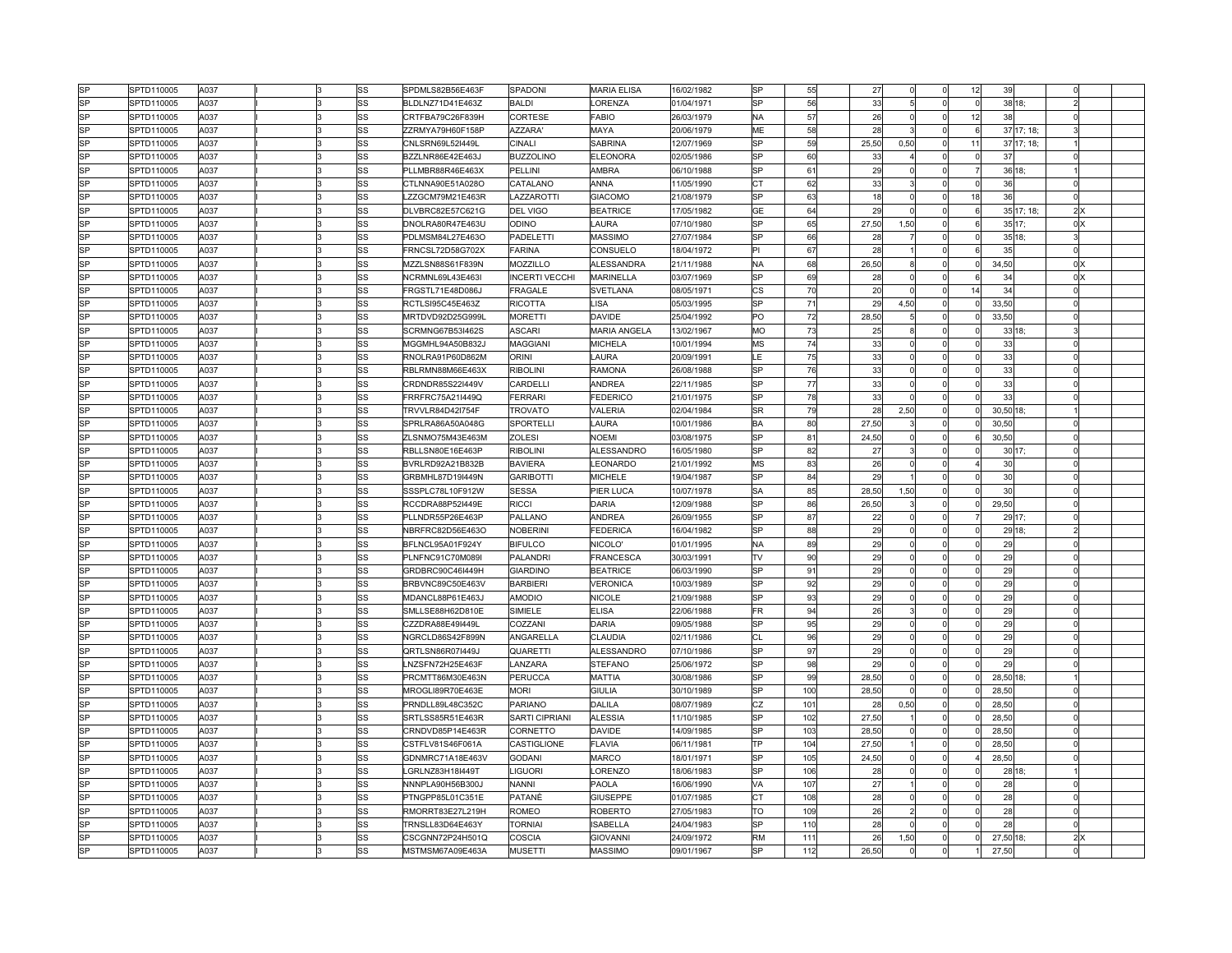| lsP                    | SPTD110005 | A037 |  | lss                    | SPDMLS82B56E463F | SPADONI               | <b>MARIA ELISA</b>  | 16/02/1982 | <b>SP</b><br>55  | 27    |          |                | 12          | 39         | $\Omega$       |  |
|------------------------|------------|------|--|------------------------|------------------|-----------------------|---------------------|------------|------------------|-------|----------|----------------|-------------|------------|----------------|--|
| lsP                    | SPTD110005 | A037 |  | lss                    | BLDLNZ71D41E463Z | <b>BALDI</b>          | <b>ORENZA</b>       | 01/04/1971 | <b>SP</b><br>56  | 33    | 5        | <sup>0</sup>   | 0           | 38 18;     | $\overline{2}$ |  |
| lsP                    | SPTD110005 | A037 |  | SS                     | CRTFBA79C26F839H | CORTESE               | FABIO               | 26/03/1979 | 57<br><b>NA</b>  | 26    |          | <sub>0</sub>   | 12          | 38         | $\Omega$       |  |
| <b>SP</b>              | SPTD110005 | A037 |  | lss                    | ZZRMYA79H60F158F | <b>AZZARA</b>         | MAYA                | 20/06/1979 | ME<br>58         | 28    |          | $\Omega$       | 6           | 37 17; 18; | 3              |  |
| <b>SP</b>              | SPTD110005 | A037 |  | SS                     | CNLSRN69L52I449L | CINALI                | <b>SABRINA</b>      | 12/07/1969 | 59<br>SP         | 25,50 | 0,50     | $\Omega$       | 11          | 37 17; 18; |                |  |
| <b>SP</b>              | SPTD110005 | A037 |  | lss                    | BZZLNR86E42E463J | <b>BUZZOLINO</b>      | ELEONORA            | 02/05/1986 | <b>SP</b><br>60  | 33    |          | $\Omega$       | $\Omega$    | 37         | ΩI             |  |
| <b>SP</b>              | SPTD110005 | A037 |  | SS                     | PLLMBR88R46E463X | PELLINI               | AMBRA               | 06/10/1988 | <b>SP</b><br>61  | 29    |          | 0              |             | 36 18;     |                |  |
| <b>SP</b>              | SPTD110005 | A037 |  | SS                     | CTLNNA90E51A028O | CATALANO              | ANNA                | 11/05/1990 | 62<br>IСT        | 33    |          | $\Omega$       |             | 36         | $\Omega$       |  |
| <b>SP</b>              | SPTD110005 | A037 |  | lss                    | LZZGCM79M21E463R | LAZZAROTTI            | <b>GIACOMO</b>      | 21/08/1979 | 63<br><b>SP</b>  | 18    |          | 0              | 18          | 36         | nl             |  |
| lsP                    | SPTD110005 | A037 |  | <sub>SS</sub>          | DLVBRC82E57C621G | <b>DEL VIGO</b>       | <b>BEATRICE</b>     | 17/05/1982 | GE<br>64         | 29    |          | οl             |             | 35 17; 18; | 2x             |  |
| <b>SP</b>              | SPTD110005 | A037 |  | lss                    | DNOLRA80R47E463U | <b>ODINO</b>          | LAURA               | 07/10/1980 | 65<br><b>SP</b>  | 27,50 | 1,50     | 0              | 6           | 35 17;     | 0 <sup>x</sup> |  |
| <b>SP</b>              | SPTD110005 | A037 |  | lss                    | PDLMSM84L27E463O | PADELETTI             | <b>MASSIMO</b>      | 27/07/1984 | lsp<br>66        | 28    |          | <sub>0</sub>   | $\Omega$    | 35 18;     | 31             |  |
| lsP                    | SPTD110005 | A037 |  | lss                    | FRNCSL72D58G702X | <b>FARINA</b>         | CONSUELO            | 18/04/1972 | l٢ı<br>67        | 28    |          | $\Omega$       |             | 35         | Ωl             |  |
| SP                     | SPTD110005 | A037 |  | SS                     | MZZLSN88S61F839N | MOZZILLO              | ALESSANDRA          | 21/11/1988 | 68<br><b>NA</b>  | 26,50 |          | <sub>0</sub>   |             | 34,50      | 0 <sup>x</sup> |  |
| <b>SP</b>              | SPTD110005 | A037 |  | SS                     | NCRMNL69L43E463  | <b>INCERTI VECCHI</b> | MARINELLA           | 03/07/1969 | lsp<br>69        | 28    |          | n              |             | 34         | $0 \times$     |  |
| $\overline{\text{SP}}$ | SPTD110005 | A037 |  | lss                    | FRGSTL71E48D086J | FRAGALE               | SVETLANA            | 08/05/1971 | <b>CS</b><br>70  | 20    |          | 0              | 14          | 34         | 0l             |  |
| lsP                    | SPTD110005 | A037 |  | lss                    | RCTLSI95C45E463Z | RICOTTA               | LISA                | 05/03/1995 | 71<br><b>SP</b>  | 29    | 4,50     | $\Omega$       | $\Omega$    | 33,50      | $\Omega$       |  |
| <b>SP</b>              | SPTD110005 | A037 |  | lss                    | MRTDVD92D25G999L | <b>MORETTI</b>        | DAVIDE              | 25/04/1992 | 72<br>PO         | 28,50 |          | <sub>0</sub>   | $\mathbf 0$ | 33,50      | $\overline{0}$ |  |
| lsP                    | SPTD110005 | A037 |  | SS                     | SCRMNG67B53I462S | <b>ASCARI</b>         | <b>MARIA ANGELA</b> | 13/02/1967 | 73<br>MO         |       |          | Ωl             | $\mathbf 0$ | 33 18;     | 3              |  |
| lsP                    |            | A037 |  | lss                    |                  | MAGGIANI              | <b>MICHELA</b>      |            | <b>MS</b><br>74  | 25    | $\Omega$ | $\Omega$       | $\Omega$    | 33         | Ωl             |  |
| <b>SP</b>              | SPTD110005 |      |  |                        | MGGMHL94A50B832J |                       |                     | 10/01/1994 |                  | 33    |          | $\Omega$       |             |            | $\Omega$       |  |
|                        | SPTD110005 | A037 |  | SS                     | RNOLRA91P60D862M | ORINI                 | <b>AURA</b>         | 20/09/1991 | 75<br>LE         | 33    |          |                |             | 33         |                |  |
| lSP<br>SP              | SPTD110005 | A037 |  | SS                     | RBLRMN88M66E463X | <b>RIBOLINI</b>       | RAMONA              | 26/08/1988 | lsp<br>76        | 33    | $\Omega$ | nl             |             | 33         | $\Omega$       |  |
|                        | SPTD110005 | A037 |  | SS                     | CRDNDR85S22I449V | CARDELLI              | ANDREA              | 22/11/1985 | SP<br>77         | 33    |          | $\Omega$       | $\Omega$    | 33         | $\Omega$       |  |
| lsP                    | SPTD110005 | A037 |  | lss                    | FRRFRC75A21I449Q | FERRARI               | FEDERICO            | 21/01/1975 | 78<br>lsp        | 33    |          | $\Omega$       |             | 33         | $\cap$         |  |
| $\overline{\text{SP}}$ | SPTD110005 | A037 |  | $\overline{\text{ss}}$ | TRVVLR84D42I754F | <b>TROVATO</b>        | VALERIA             | 02/04/1984 | 79<br><b>SR</b>  | 28    | 2,50     | <sub>0</sub>   |             | 30,50 18;  |                |  |
| lsP                    | SPTD110005 | A037 |  | SS                     | SPRLRA86A50A048G | SPORTELLI             | <b>AURA</b>         | 10/01/1986 | 80<br>İВA        | 27,50 |          | <sub>0</sub>   |             | 30.50      |                |  |
| <b>SP</b>              | SPTD110005 | A037 |  | lss                    | ZLSNMO75M43E463M | <b>ZOLESI</b>         | <b>NOEMI</b>        | 03/08/1975 | <b>SP</b><br>81  | 24,50 | $\Omega$ | $\circ$        | 6           | 30,50      | Ωl             |  |
| lsP                    | SPTD110005 | A037 |  | lss                    | RBLLSN80E16E463P | <b>RIBOLINI</b>       | ALESSANDRO          | 16/05/1980 | <b>SP</b><br>82  | 27    |          | $\Omega$       | $\Omega$    | 30 17;     | $\Omega$       |  |
| <b>SP</b>              | SPTD110005 | A037 |  | SS                     | BVRLRD92A21B832B | <b>BAVIERA</b>        | <b>EONARDO</b>      | 21/01/1992 | <b>MS</b><br>83  | 26    | $\Omega$ | nl             |             | 30         | $\Omega$       |  |
| <b>SP</b>              | SPTD110005 | A037 |  | SS                     | GRBMHL87D19I449N | <b>GARIBOTTI</b>      | <b>MICHELE</b>      | 19/04/1987 | <b>SP</b><br>84  | 29    |          | $\overline{0}$ |             | 30         | $\Omega$       |  |
| lsP                    | SPTD110005 | A037 |  | lss                    | SSSPLC78L10F912W | <b>SESSA</b>          | PIER LUCA           | 10/07/1978 | <b>SA</b><br>85  | 28,50 | 1,50     | $\Omega$       | $\Omega$    | 30         | $\Omega$       |  |
| $_{SP}$                | SPTD110005 | A037 |  | lss                    | RCCDRA88P52I449E | RICCI                 | DARIA               | 12/09/1988 | <b>SP</b><br>86  | 26,50 |          | $\Omega$       | $\Omega$    | 29,50      | $\Omega$       |  |
| lsP                    | SPTD110005 | A037 |  | SS                     | PLLNDR55P26E463P | PALLANO               | ANDREA              | 26/09/1955 | 87<br>lsp        | 22    |          | <sub>0</sub>   |             | 29 17;     | $\Omega$       |  |
| <b>SP</b>              | SPTD110005 | A037 |  | lss                    | NBRFRC82D56E463O | <b>NOBERINI</b>       | <b>FEDERICA</b>     | 16/04/1982 | 88<br><b>SP</b>  | 29    | $\Omega$ | $\Omega$       | $\mathbf 0$ | 29 18;     | $\overline{2}$ |  |
| lsP                    | SPTD110005 | A037 |  | SS                     | BFLNCL95A01F924Y | <b>BIFULCO</b>        | NICOLO'             | 01/01/1995 | 89<br><b>NA</b>  | 29    |          | Ωl             | $\Omega$    | 29         | $\Omega$       |  |
| <b>SP</b>              | SPTD110005 | A037 |  | lss                    | PLNFNC91C70M089I | PALANDRI              | FRANCESCA           | 30/03/1991 | 90<br>TV         | 29    | $\Omega$ | $\Omega$       | $\Omega$    | 29         | Ωl             |  |
| SP                     | SPTD110005 | A037 |  | SS                     | GRDBRC90C46I449H | <b>GIARDINO</b>       | <b>BEATRICE</b>     | 06/03/1990 | lsp<br>91        | 29    | $\Omega$ | $\Omega$       | $\Omega$    | 29         | $\Omega$       |  |
| lsP                    | SPTD110005 | A037 |  | SS                     | BRBVNC89C50E463V | <b>BARBIERI</b>       | VERONICA            | 10/03/1989 | <b>SP</b><br>92  | 29    |          | $\Omega$       | $\Omega$    | 29         | $\cap$         |  |
| $_{SP}$                | SPTD110005 | A037 |  | lss                    | MDANCL88P61E463J | <b>AMODIO</b>         | NICOLE              | 21/09/1988 | <b>SP</b><br>93  | 29    |          | $\overline{0}$ | $\Omega$    | 29         | $\Omega$       |  |
| lsP                    | SPTD110005 | A037 |  | lss                    | SMLLSE88H62D810E | SIMIELE               | <b>ELISA</b>        | 22/06/1988 | <b>FR</b><br>94  | 26    |          | $\Omega$       |             | 29         | $\Omega$       |  |
| SP                     | SPTD110005 | A037 |  | lss                    | CZZDRA88E49I449L | COZZANI               | DARIA               | 09/05/1988 | 95<br><b>SP</b>  | 29    | $\Omega$ | $\Omega$       | $\Omega$    | 29         | $\Omega$       |  |
| lsP                    | SPTD110005 | A037 |  | <sub>SS</sub>          | NGRCLD86S42F899N | ANGARELLA             | CLAUDIA             | 02/11/1986 | CL<br>96         | 29    |          | ٥l             | 0           | 29         | $\Omega$       |  |
| <b>SP</b>              | SPTD110005 | A037 |  | lss                    | QRTLSN86R07I449J | QUARETTI              | ALESSANDRO          | 07/10/1986 | 97<br>lse        | 29    | $\Omega$ | $\Omega$       | $\Omega$    | 29         | $\Omega$       |  |
| SP                     | SPTD110005 | A037 |  | SS                     | LNZSFN72H25E463F | <b>ANZARA</b>         | <b>STEFANO</b>      | 25/06/1972 | lsp<br>98        | 29    | $\Omega$ | $\Omega$       |             | 29         | $\Omega$       |  |
| lsP                    | SPTD110005 | A037 |  | lss                    | PRCMTT86M30E463N | PERUCCA               | MATTIA              | 30/08/1986 | lsp<br>99        | 28,50 | $\Omega$ | <sub>0</sub>   | 0           | 28,50 18;  |                |  |
| <b>SP</b>              | SPTD110005 | A037 |  | lss                    | MROGLI89R70E463E | <b>MORI</b>           | <b>GIULIA</b>       | 30/10/1989 | <b>SP</b><br>100 | 28,50 | $\Omega$ | $\Omega$       | $\Omega$    | 28,50      | $\Omega$       |  |
| lsP                    | SPTD110005 | A037 |  | SS                     | PRNDLL89L48C352C | PARIANO               | DALILA              | 08/07/1989 | CZ<br>101        | 28    | 0,50     | ol             |             | 28,50      | $\Omega$       |  |
| $\overline{\text{SP}}$ | SPTD110005 | A037 |  | lss                    | SRTLSS85R51E463R | <b>SARTI CIPRIANI</b> | ALESSIA             | 11/10/1985 | <b>SP</b><br>102 | 27,50 |          | 0              |             | 28,50      | $\Omega$       |  |
| lsP                    | SPTD110005 | A037 |  | SS                     | CRNDVD85P14E463R | CORNETTO              | DAVIDE              | 14/09/1985 | <b>SP</b><br>103 | 28,50 |          | Ωl             |             | 28.50      | $\Omega$       |  |
| SP                     | SPTD110005 | A037 |  | lss                    | CSTFLV81S46F061A | CASTIGLIONE           | <b>FLAVIA</b>       | 06/11/1981 | TР<br>104        | 27,50 |          | <sub>0</sub>   | $\Omega$    | 28,50      | 0l             |  |
| <b>SP</b>              | SPTD110005 | A037 |  | SS                     | GDNMRC71A18E463V | <b>GODANI</b>         | <b>MARCO</b>        | 18/01/1971 | <b>SP</b><br>105 | 24,50 | $\Omega$ | $\Omega$       |             | 28,50      | $\Omega$       |  |
| lsP                    | SPTD110005 | A037 |  | lss                    | LGRLNZ83H18I449T | <b>LIGUORI</b>        | _ORENZO             | 18/06/1983 | <b>SP</b><br>106 | 28    |          | nl             |             | 28 18;     |                |  |
| lsP                    | SPTD110005 | A037 |  | lss                    | NNNPLA90H56B300J | NANNI                 | PAOLA               | 16/06/1990 | 107<br>VA        | 27    |          | $\overline{0}$ |             | 28         | $\Omega$       |  |
| lsP                    | SPTD110005 | A037 |  | SS                     | PTNGPP85L01C351E | PATANÈ                | <b>GIUSEPPE</b>     | 01/07/1985 | 108<br>СT        | 28    |          | $\Omega$       |             | 28         | $\Omega$       |  |
| <b>SP</b>              | SPTD110005 | A037 |  | lss                    | RMORRT83E27L219H | <b>ROMEO</b>          | <b>ROBERTO</b>      | 27/05/1983 | TO<br>109        | 26    |          | $\Omega$       | $\Omega$    | 28         | 0l             |  |
| lsP                    | SPTD110005 | A037 |  | SS                     | TRNSLL83D64E463Y | <b>TORNIAI</b>        | <b>ISABELLA</b>     | 24/04/1983 | <b>SP</b><br>110 | 28    |          |                |             | 28         | $\Omega$       |  |
| lsP                    | SPTD110005 | A037 |  | SS                     | CSCGNN72P24H501Q | COSCIA                | <b>GIOVANNI</b>     | 24/09/1972 | <b>RM</b><br>111 | 26    | 1,50     | Ωl             |             | 27,50 18;  | 2x             |  |
| <b>SP</b>              | SPTD110005 | A037 |  | SS                     | MSTMSM67A09E463A | <b>MUSETTI</b>        | <b>MASSIMO</b>      | 09/01/1967 | <b>SP</b><br>112 | 26.50 |          |                |             | 27.50      | $\Omega$       |  |
|                        |            |      |  |                        |                  |                       |                     |            |                  |       |          |                |             |            |                |  |